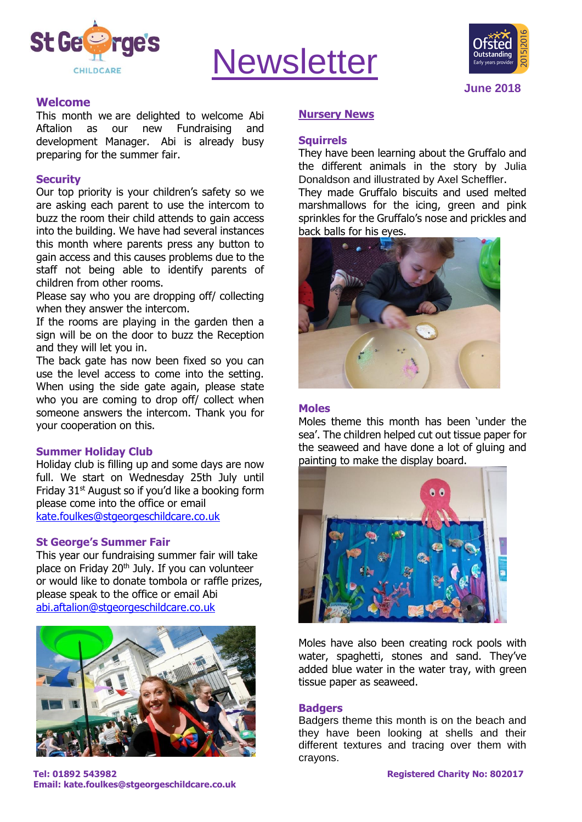

# **Newsletter**



#### **Welcome**

This month we are delighted to welcome Abi Aftalion as our new Fundraising and development Manager. Abi is already busy preparing for the summer fair.

#### **Security**

Our top priority is your children's safety so we are asking each parent to use the intercom to buzz the room their child attends to gain access into the building. We have had several instances this month where parents press any button to gain access and this causes problems due to the staff not being able to identify parents of children from other rooms.

Please say who you are dropping off/ collecting when they answer the intercom.

If the rooms are playing in the garden then a sign will be on the door to buzz the Reception and they will let you in.

The back gate has now been fixed so you can use the level access to come into the setting. When using the side gate again, please state who you are coming to drop off/ collect when someone answers the intercom. Thank you for your cooperation on this.

#### **Summer Holiday Club**

Holiday club is filling up and some days are now full. We start on Wednesday 25th July until Friday 31st August so if you'd like a booking form please come into the office or email [kate.foulkes@stgeorgeschildcare.co.uk](mailto:kate.foulkes@stgeorgeschildcare.co.uk)

#### **St George's Summer Fair**

This year our fundraising summer fair will take place on Friday 20<sup>th</sup> July. If you can volunteer or would like to donate tombola or raffle prizes, please speak to the office or email Abi [abi.aftalion@stgeorgeschildcare.co.uk](mailto:abi.aftalion@stgeorgeschildcare.co.uk)



**Tel: 01892 543982 Registered Charity No: 802017 Email: kate.foulkes@stgeorgeschildcare.co.uk**

#### **Nursery News**

#### **Squirrels**

They have been learning about the Gruffalo and the different animals in the story by Julia Donaldson and illustrated by Axel Scheffler.

They made Gruffalo biscuits and used melted marshmallows for the icing, green and pink sprinkles for the Gruffalo's nose and prickles and back balls for his eyes.



#### **Moles**

Moles theme this month has been 'under the sea'. The children helped cut out tissue paper for the seaweed and have done a lot of gluing and painting to make the display board.



Moles have also been creating rock pools with water, spaghetti, stones and sand. They've added blue water in the water tray, with green tissue paper as seaweed.

#### **Badgers**

Badgers theme this month is on the beach and they have been looking at shells and their different textures and tracing over them with crayons.